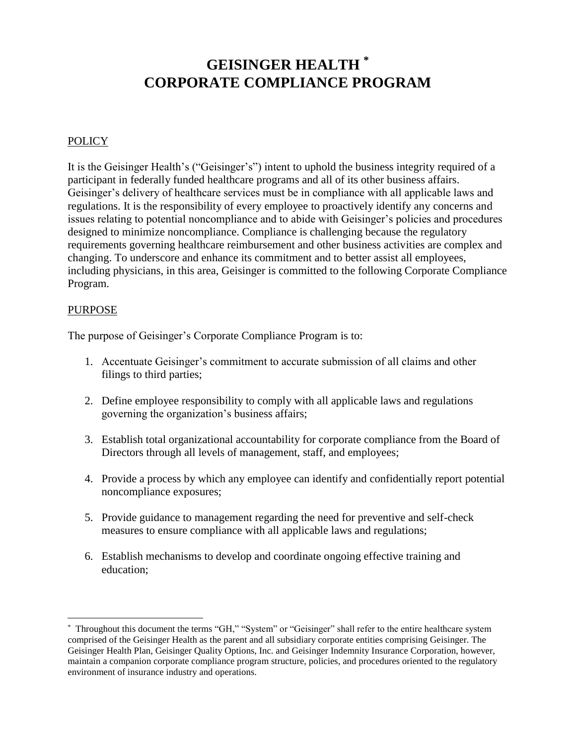# **GEISINGER HEALTH \* CORPORATE COMPLIANCE PROGRAM**

### **POLICY**

It is the Geisinger Health's ("Geisinger's") intent to uphold the business integrity required of a participant in federally funded healthcare programs and all of its other business affairs. Geisinger's delivery of healthcare services must be in compliance with all applicable laws and regulations. It is the responsibility of every employee to proactively identify any concerns and issues relating to potential noncompliance and to abide with Geisinger's policies and procedures designed to minimize noncompliance. Compliance is challenging because the regulatory requirements governing healthcare reimbursement and other business activities are complex and changing. To underscore and enhance its commitment and to better assist all employees, including physicians, in this area, Geisinger is committed to the following Corporate Compliance Program.

#### PURPOSE

 $\overline{a}$ 

The purpose of Geisinger's Corporate Compliance Program is to:

- 1. Accentuate Geisinger's commitment to accurate submission of all claims and other filings to third parties;
- 2. Define employee responsibility to comply with all applicable laws and regulations governing the organization's business affairs;
- 3. Establish total organizational accountability for corporate compliance from the Board of Directors through all levels of management, staff, and employees;
- 4. Provide a process by which any employee can identify and confidentially report potential noncompliance exposures;
- 5. Provide guidance to management regarding the need for preventive and self-check measures to ensure compliance with all applicable laws and regulations;
- 6. Establish mechanisms to develop and coordinate ongoing effective training and education;

<sup>\*</sup> Throughout this document the terms "GH," "System" or "Geisinger" shall refer to the entire healthcare system comprised of the Geisinger Health as the parent and all subsidiary corporate entities comprising Geisinger. The Geisinger Health Plan, Geisinger Quality Options, Inc. and Geisinger Indemnity Insurance Corporation, however, maintain a companion corporate compliance program structure, policies, and procedures oriented to the regulatory environment of insurance industry and operations.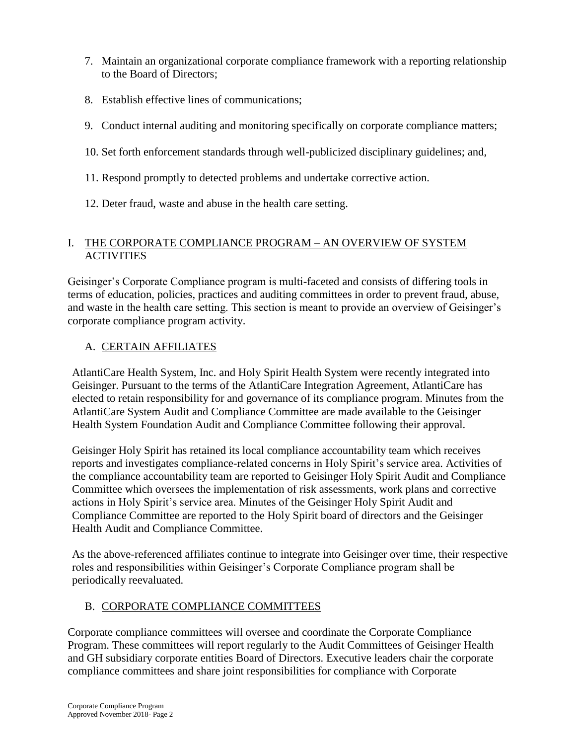- 7. Maintain an organizational corporate compliance framework with a reporting relationship to the Board of Directors;
- 8. Establish effective lines of communications;
- 9. Conduct internal auditing and monitoring specifically on corporate compliance matters;
- 10. Set forth enforcement standards through well-publicized disciplinary guidelines; and,
- 11. Respond promptly to detected problems and undertake corrective action.
- 12. Deter fraud, waste and abuse in the health care setting.

## I. THE CORPORATE COMPLIANCE PROGRAM – AN OVERVIEW OF SYSTEM ACTIVITIES

Geisinger's Corporate Compliance program is multi-faceted and consists of differing tools in terms of education, policies, practices and auditing committees in order to prevent fraud, abuse, and waste in the health care setting. This section is meant to provide an overview of Geisinger's corporate compliance program activity.

# A. CERTAIN AFFILIATES

AtlantiCare Health System, Inc. and Holy Spirit Health System were recently integrated into Geisinger. Pursuant to the terms of the AtlantiCare Integration Agreement, AtlantiCare has elected to retain responsibility for and governance of its compliance program. Minutes from the AtlantiCare System Audit and Compliance Committee are made available to the Geisinger Health System Foundation Audit and Compliance Committee following their approval.

Geisinger Holy Spirit has retained its local compliance accountability team which receives reports and investigates compliance-related concerns in Holy Spirit's service area. Activities of the compliance accountability team are reported to Geisinger Holy Spirit Audit and Compliance Committee which oversees the implementation of risk assessments, work plans and corrective actions in Holy Spirit's service area. Minutes of the Geisinger Holy Spirit Audit and Compliance Committee are reported to the Holy Spirit board of directors and the Geisinger Health Audit and Compliance Committee.

As the above-referenced affiliates continue to integrate into Geisinger over time, their respective roles and responsibilities within Geisinger's Corporate Compliance program shall be periodically reevaluated.

## B. CORPORATE COMPLIANCE COMMITTEES

Corporate compliance committees will oversee and coordinate the Corporate Compliance Program. These committees will report regularly to the Audit Committees of Geisinger Health and GH subsidiary corporate entities Board of Directors. Executive leaders chair the corporate compliance committees and share joint responsibilities for compliance with Corporate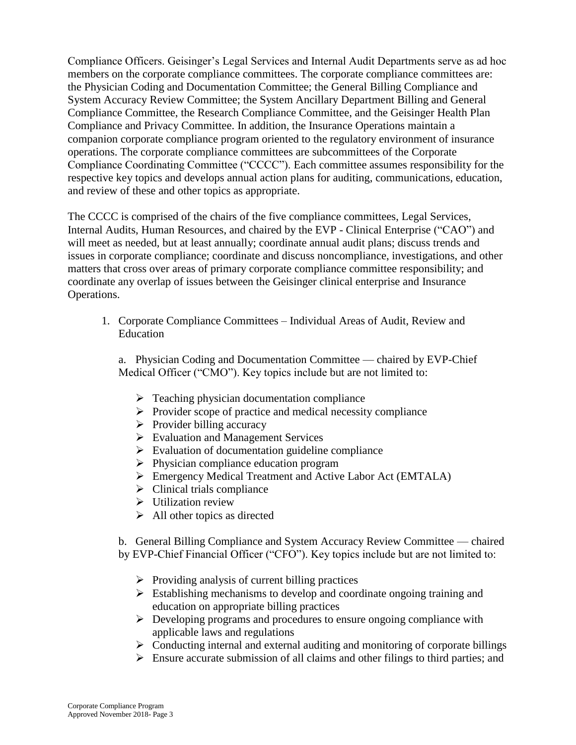Compliance Officers. Geisinger's Legal Services and Internal Audit Departments serve as ad hoc members on the corporate compliance committees. The corporate compliance committees are: the Physician Coding and Documentation Committee; the General Billing Compliance and System Accuracy Review Committee; the System Ancillary Department Billing and General Compliance Committee, the Research Compliance Committee, and the Geisinger Health Plan Compliance and Privacy Committee. In addition, the Insurance Operations maintain a companion corporate compliance program oriented to the regulatory environment of insurance operations. The corporate compliance committees are subcommittees of the Corporate Compliance Coordinating Committee ("CCCC"). Each committee assumes responsibility for the respective key topics and develops annual action plans for auditing, communications, education, and review of these and other topics as appropriate.

The CCCC is comprised of the chairs of the five compliance committees, Legal Services, Internal Audits, Human Resources, and chaired by the EVP - Clinical Enterprise ("CAO") and will meet as needed, but at least annually; coordinate annual audit plans; discuss trends and issues in corporate compliance; coordinate and discuss noncompliance, investigations, and other matters that cross over areas of primary corporate compliance committee responsibility; and coordinate any overlap of issues between the Geisinger clinical enterprise and Insurance Operations.

1. Corporate Compliance Committees – Individual Areas of Audit, Review and Education

a. Physician Coding and Documentation Committee — chaired by EVP-Chief Medical Officer ("CMO"). Key topics include but are not limited to:

- ➢ Teaching physician documentation compliance
- ➢ Provider scope of practice and medical necessity compliance
- $\triangleright$  Provider billing accuracy
- ➢ Evaluation and Management Services
- $\triangleright$  Evaluation of documentation guideline compliance
- ➢ Physician compliance education program
- ➢ Emergency Medical Treatment and Active Labor Act (EMTALA)
- $\triangleright$  Clinical trials compliance
- ➢ Utilization review
- $\triangleright$  All other topics as directed

b. General Billing Compliance and System Accuracy Review Committee — chaired by EVP-Chief Financial Officer ("CFO"). Key topics include but are not limited to:

- ➢ Providing analysis of current billing practices
- ➢ Establishing mechanisms to develop and coordinate ongoing training and education on appropriate billing practices
- ➢ Developing programs and procedures to ensure ongoing compliance with applicable laws and regulations
- ➢ Conducting internal and external auditing and monitoring of corporate billings
- ➢ Ensure accurate submission of all claims and other filings to third parties; and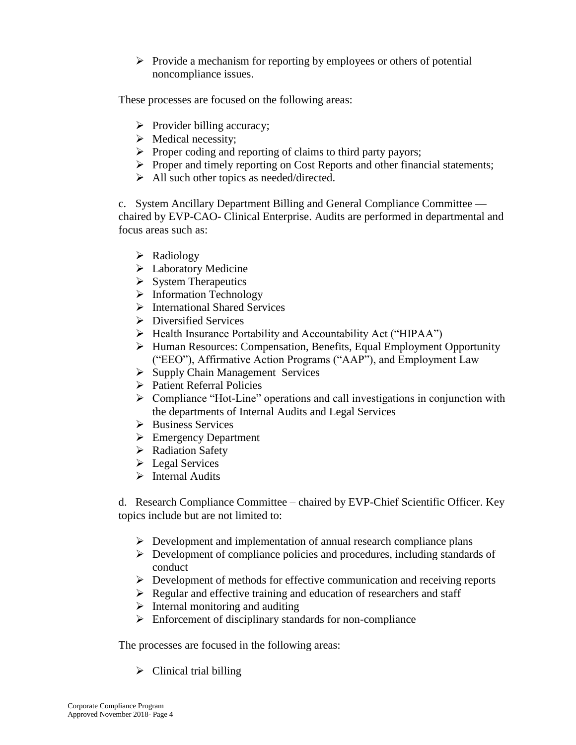$\triangleright$  Provide a mechanism for reporting by employees or others of potential noncompliance issues.

These processes are focused on the following areas:

- ➢ Provider billing accuracy;
- ➢ Medical necessity;
- ➢ Proper coding and reporting of claims to third party payors;
- ➢ Proper and timely reporting on Cost Reports and other financial statements;
- $\triangleright$  All such other topics as needed/directed.

c. System Ancillary Department Billing and General Compliance Committee chaired by EVP-CAO- Clinical Enterprise. Audits are performed in departmental and focus areas such as:

- ➢ Radiology
- ➢ Laboratory Medicine
- ➢ System Therapeutics
- ➢ Information Technology
- ➢ International Shared Services
- ➢ Diversified Services
- ➢ Health Insurance Portability and Accountability Act ("HIPAA")
- ➢ Human Resources: Compensation, Benefits, Equal Employment Opportunity ("EEO"), Affirmative Action Programs ("AAP"), and Employment Law
- ➢ Supply Chain Management Services
- ➢ Patient Referral Policies
- ➢ Compliance "Hot-Line" operations and call investigations in conjunction with the departments of Internal Audits and Legal Services
- ➢ Business Services
- ➢ Emergency Department
- ➢ Radiation Safety
- ➢ Legal Services
- ➢ Internal Audits

d. Research Compliance Committee – chaired by EVP-Chief Scientific Officer. Key topics include but are not limited to:

- $\triangleright$  Development and implementation of annual research compliance plans
- ➢ Development of compliance policies and procedures, including standards of conduct
- ➢ Development of methods for effective communication and receiving reports
- ➢ Regular and effective training and education of researchers and staff
- $\triangleright$  Internal monitoring and auditing
- ➢ Enforcement of disciplinary standards for non-compliance

The processes are focused in the following areas:

 $\triangleright$  Clinical trial billing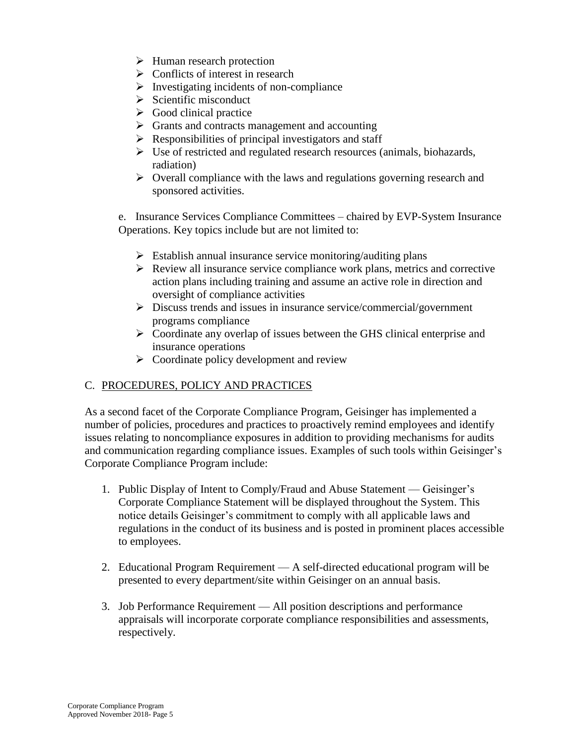- ➢ Human research protection
- $\triangleright$  Conflicts of interest in research
- $\triangleright$  Investigating incidents of non-compliance
- $\triangleright$  Scientific misconduct
- $\triangleright$  Good clinical practice
- $\triangleright$  Grants and contracts management and accounting
- $\triangleright$  Responsibilities of principal investigators and staff
- ➢ Use of restricted and regulated research resources (animals, biohazards, radiation)
- ➢ Overall compliance with the laws and regulations governing research and sponsored activities.

e. Insurance Services Compliance Committees – chaired by EVP-System Insurance Operations. Key topics include but are not limited to:

- $\triangleright$  Establish annual insurance service monitoring/auditing plans
- ➢ Review all insurance service compliance work plans, metrics and corrective action plans including training and assume an active role in direction and oversight of compliance activities
- ➢ Discuss trends and issues in insurance service/commercial/government programs compliance
- ➢ Coordinate any overlap of issues between the GHS clinical enterprise and insurance operations
- $\triangleright$  Coordinate policy development and review

## C. PROCEDURES, POLICY AND PRACTICES

As a second facet of the Corporate Compliance Program, Geisinger has implemented a number of policies, procedures and practices to proactively remind employees and identify issues relating to noncompliance exposures in addition to providing mechanisms for audits and communication regarding compliance issues. Examples of such tools within Geisinger's Corporate Compliance Program include:

- 1. Public Display of Intent to Comply/Fraud and Abuse Statement Geisinger's Corporate Compliance Statement will be displayed throughout the System. This notice details Geisinger's commitment to comply with all applicable laws and regulations in the conduct of its business and is posted in prominent places accessible to employees.
- 2. Educational Program Requirement A self-directed educational program will be presented to every department/site within Geisinger on an annual basis.
- 3. Job Performance Requirement All position descriptions and performance appraisals will incorporate corporate compliance responsibilities and assessments, respectively.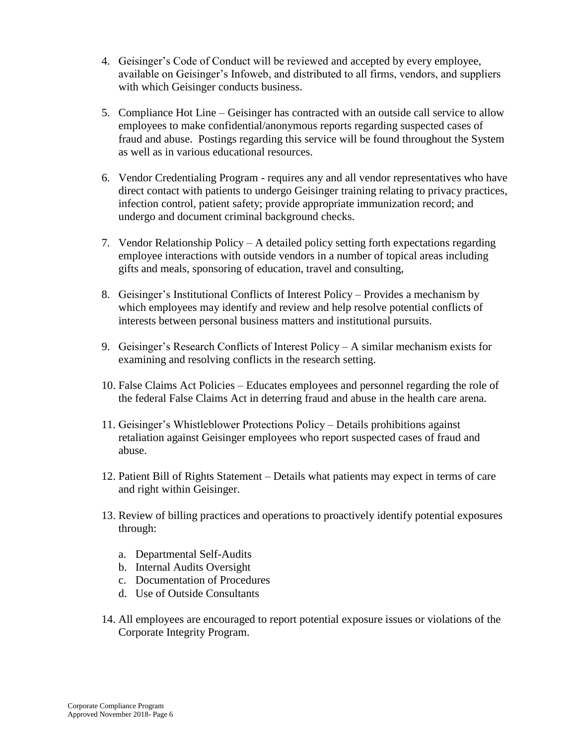- 4. Geisinger's Code of Conduct will be reviewed and accepted by every employee, available on Geisinger's Infoweb, and distributed to all firms, vendors, and suppliers with which Geisinger conducts business.
- 5. Compliance Hot Line Geisinger has contracted with an outside call service to allow employees to make confidential/anonymous reports regarding suspected cases of fraud and abuse. Postings regarding this service will be found throughout the System as well as in various educational resources.
- 6. Vendor Credentialing Program requires any and all vendor representatives who have direct contact with patients to undergo Geisinger training relating to privacy practices, infection control, patient safety; provide appropriate immunization record; and undergo and document criminal background checks.
- 7. Vendor Relationship Policy A detailed policy setting forth expectations regarding employee interactions with outside vendors in a number of topical areas including gifts and meals, sponsoring of education, travel and consulting,
- 8. Geisinger's Institutional Conflicts of Interest Policy Provides a mechanism by which employees may identify and review and help resolve potential conflicts of interests between personal business matters and institutional pursuits.
- 9. Geisinger's Research Conflicts of Interest Policy A similar mechanism exists for examining and resolving conflicts in the research setting.
- 10. False Claims Act Policies Educates employees and personnel regarding the role of the federal False Claims Act in deterring fraud and abuse in the health care arena.
- 11. Geisinger's Whistleblower Protections Policy Details prohibitions against retaliation against Geisinger employees who report suspected cases of fraud and abuse.
- 12. Patient Bill of Rights Statement Details what patients may expect in terms of care and right within Geisinger.
- 13. Review of billing practices and operations to proactively identify potential exposures through:
	- a. Departmental Self-Audits
	- b. Internal Audits Oversight
	- c. Documentation of Procedures
	- d. Use of Outside Consultants
- 14. All employees are encouraged to report potential exposure issues or violations of the Corporate Integrity Program.